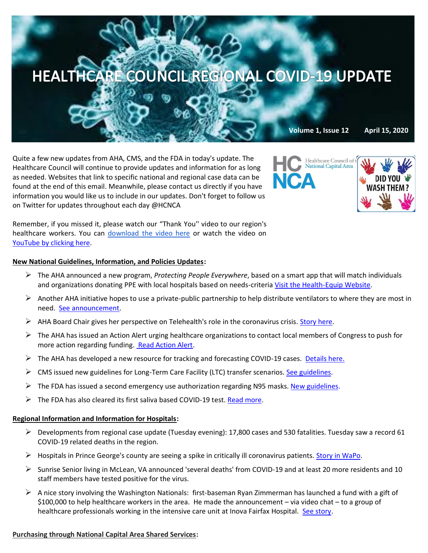

Quite a few new updates from AHA, CMS, and the FDA in today's update. The Healthcare Council will continue to provide updates and information for as long as needed. Websites that link to specific national and regional case data can be found at the end of this email. Meanwhile, please contact us directly if you have information you would like us to include in our updates. Don't forget to follow us on Twitter for updates throughout each day @HCNCA



Remember, if you missed it, please watch our "Thank You'' video to our region's healthcare workers. You can [download the video here](https://we.tl/t-0B45ap5TRt#_blank) or watch the video on [YouTube by clicking here.](https://www.youtube.com/watch?v=HBYUCBxwV4E&feature=youtu.be)

### **New National Guidelines, Information, and Policies Updates:**

- ➢ The AHA announced a new program, *Protecting People Everywhere*, based on a smart app that will match individuals and organizations donating PPE with local hospitals based on needs-criteria [Visit the Health-Equip Website.](https://www.health-equip.com/)
- $\triangleright$  Another AHA initiative hopes to use a private-public partnership to help distribute ventilators to where they are most in need. [See announcement.](https://mail-attachment.googleusercontent.com/attachment/u/0/?ui=2&ik=9aef729a78&attid=0.1&permmsgid=msg-f:1663981230797757347&th=1717a61cfe9e1ba3&view=att&disp=inline&saddbat=ANGjdJ-9Vw9qXyke5rBT7ivPV6A_cpPbtZn0GF2JBS6BMhwmiphZQkGAJYAg0ZayLnkriMi83cF9saBRiN-0ucebl9iIpYHinexhFrp1NrFxXtEljzl1Jg06mnvdod1xCGsHY2NP-7_4aLAWNiU2cSIdfU0RDItk2BWIBG2vP1psBNDlX-gztBHG2gNajDipW18CWldIRRrRQCkj9g2DifsSBhUuUzQ_WnCj7vWg8SF4hP0Tn3TydP9X6ObyXjFFFs1-VCcuSK6uFmsSSAj69oM2UC9h_XSQZdpJaygdvgeBK_tXpNhF3nSy05uBsZnMKuKMRD4E16iANYUP0b-bhyurmUVm_peOiWqZSNXE2MwB1a8VnoKnA0jIB-DkrA9sThk1c3CHYCq3zyX39TPjupogDKIib_8rGt23VsUksFToiTg8cqaalIwxUvUO_BgMkJLmsG9g26bJ1jiOeCIXDhi1MRL3yLgBrQgnSKGPv3jc7dRkTnbnN-4S76wsRQYqiP9AOlsKXFDNt9TOzfVC54IjgSVlx-gy6efqlA-p1aVUMld73KZyBqWu2Cf5YSZGUdLmwOhkPGYVklkYjtQBLYnOKxLG8EHBbVmwCejHWXoERflJ3GETobqZUduNsdhbu54i1vraOcKwm7ksdaPZz0LcrSFoJFBAH0K011aADyoWZ9XLV6h2Sn5XsDinj3Q)
- $\triangleright$  AHA Board Chair gives her perspective on Telehealth's role in the coronavirus crisis. [Story here.](https://contentsharing.net/actions/email_web_version.cfm?ep=Bdhtp-zVuqFkgQiV6-lxty0f-nrLBJWzuTngPvD-5dU0h9qo6eBAo_0uMmqOfpMdAegqqRHr9WupO3HTJF5vi1Ius9bNwHOxrW1tPdqeuzN2OomBNEBCk_fbIyxHZxPr)
- $\triangleright$  The AHA has issued an Action Alert urging healthcare organizations to contact local members of Congress to push for more action regarding funding. [Read Action Alert.](https://mail-attachment.googleusercontent.com/attachment/u/0/?ui=2&ik=9aef729a78&attid=0.1&permmsgid=msg-f:1663911954924543748&th=1717671b72cd9f04&view=att&disp=inline&saddbat=ANGjdJ-wETXqgPvu_xipFKidvIKePzu-jme_O7n9DA9oIGCSypIinO9PhVdvZRa5pVOHOEyll_DHSmVTCu29fidFzjZc5KObsnyLwG013hMUB8oNw59l9XeXdqzL_8adwwP83hTQ6q_Qhmitpxk4bFmASAcOwBqKCfbZyFs6nMcEgxn3L_ZTnhxsS-ZZQOAKqBwPY0QRVPn-euJIaztfk55xFkgiRhsfwOtUZCR1r2B9tM0NLsVM5gZuyOw5NzxvnKea12OQ1NcJLQIiA6gmOYb_wjUf-UGGI9M0ctst0t1ZJTMzNH4v0KUFHVikYkbJqVHb4SFM4eBQwIyJaK6f8hSlZoCt9Nai5_dYDhsqv7qdiYFvr_IF8IG4ToxgHs6lr4CfhDtKel-RqZ2vOOoMAoCxgQzD8BHI9LnREgs5Mn39jD3acpzEwc53VDUvT796T20X0nOYXA4sEqA2egkB_qiF28TKbcEYmlTWZX2oae6QmFVQ7P3H1__BriYS2cZT1kXBQlVoyjzAdMdfjVQ0rhBH7hQ0VM7sNCHg17M2anEidq92Zesa5K5n73VrFHP3_ReH5dbW2aZJlwVwqrfT2pKtd6zO25OoFrt7WFlsCrIThFUWz_Z3lLLolny2NK1QL7wnaQRSBOfc40jQSfd5c2XuiNz-crtZ5ovwnmwbr_c0uYU66N8Mn_VX_EvRJ_I)
- $\triangleright$  The AHA has developed a new resource for tracking and forecasting COVID-19 cases. [Details here.](https://mail.google.com/mail/u/0/#inbox/FMfcgxwHMjwVWjsDcKMPWVwzZBSxXNGc)
- CMS issued new guidelines for Long-Term Care Facility (LTC) transfer scenarios. [See guidelines.](https://www.cms.gov/files/document/qso-20-25-nh.pdf)
- $\triangleright$  The FDA has issued a second emergency use authorization regarding N95 masks. [New guidelines.](https://www.fda.gov/news-events/press-announcements/coronavirus-covid-19-update-fda-issues-second-emergency-use-authorization-decontaminate-n95)
- The FDA has also cleared its first saliva based COVID-19 test[. Read more.](https://apnews.com/a420e1c4b93f9fd9a14561196c92e0a2?mkt_tok=eyJpIjoiTVRNMk56RmtNakprTm1NMSIsInQiOiJURnZXcTN4UElDNEVWSXlGK3ZLNWxXSWdseW0xRkdrc29vMzNjeUx6Zm1keHVYRTlBcSs0dWpGZVdWM1NvUURvZVJodmRtNW91YUsyczNMVW1teWFIa09pYU5NR0c5emtISFwvcURPUmtaMmsrVDZaTVphemw5Q1RKeXBwMFAzbmoifQ==)

### **Regional Information and Information for Hospitals:**

- $\triangleright$  Developments from regional case update (Tuesday evening): 17,800 cases and 530 fatalities. Tuesday saw a record 61 COVID-19 related deaths in the region.
- $\triangleright$  Hospitals in Prince George's county are seeing a spike in critically ill coronavirus patients. [Story in WaPo.](https://www.washingtonpost.com/local/prince-georges-hospitals-coronavirus-crisis/2020/04/14/2ac05724-7e7f-11ea-9040-68981f488eed_story.html)
- ➢ Sunrise Senior living in McLean, VA announced 'several deaths' from COVID-19 and at least 20 more residents and 10 staff members have tested positive for the virus.
- $\triangleright$  A nice story involving the Washington Nationals: first-baseman Ryan Zimmerman has launched a fund with a gift of \$100,000 to help healthcare workers in the area. He made the announcement – via video chat – to a group of healthcare professionals working in the intensive care unit at Inova Fairfax Hospital. [See story.](https://www.washingtonpost.com/sports/2020/04/14/nationals-ryan-zimmerman-starts-fund-health-care-workers-with-100k-gift/)

### **Purchasing through National Capital Area Shared Services:**